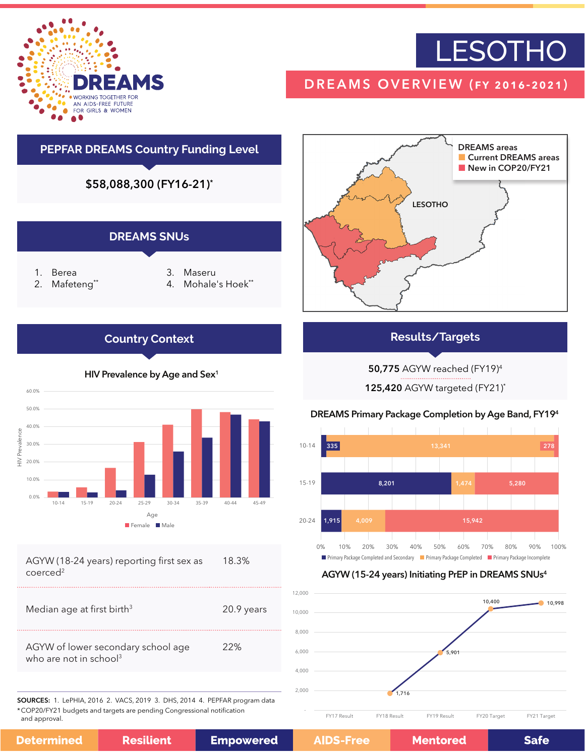

# **LESOTHO**

## DREAMS OVERVIEW (fy 2016-2021)

## **PEPFAR DREAMS Country Funding Level**

\$58,088,300 (FY16-21)\*







| AGYW (18-24 years) reporting first sex as | 18.3% |
|-------------------------------------------|-------|
| coerced <sup>2</sup>                      |       |

| Median age at first birth <sup>3</sup>                                   | 20.9 years |
|--------------------------------------------------------------------------|------------|
| AGYW of lower secondary school age<br>who are not in school <sup>3</sup> | 22%        |

SOURCES: 1. LePHIA, 2016 2. VACS, 2019 3. DHS, 2014 4. PEPFAR program data \*COP20/FY21 budgets and targets are pending Congressional notification and approval.



### **Results/Targets**

50,775 AGYW reached (FY19)4

125,420 AGYW targeted (FY21)\*

### DREAMS Primary Package Completion by Age Band, FY194



### AGYW (15-24 years) Initiating PrEP in DREAMS SNUs4



| <b>Empowered</b><br><b>Resilient</b><br>Determined | <b>AIDS-Free</b> |
|----------------------------------------------------|------------------|
|----------------------------------------------------|------------------|

**Safe**